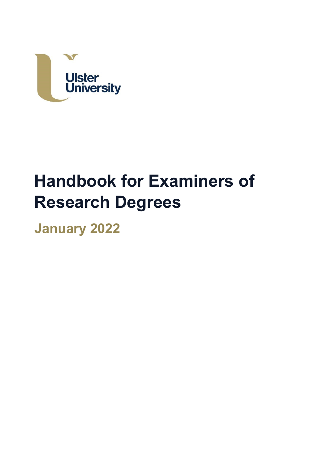

# **Handbook for Examiners of Research Degrees**

**January 2022**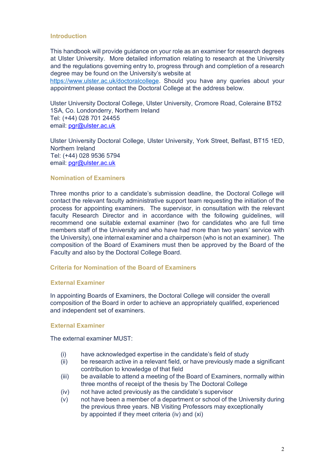## **Introduction**

 degree may be found on the University's website at This handbook will provide guidance on your role as an examiner for research degrees at Ulster University. More detailed information relating to research at the University and the regulations governing entry to, progress through and completion of a research

[https://www.ulster.ac.uk/doctoralcollege.](https://www.ulster.ac.uk/doctoralcollege) Should you have any queries about your appointment please contact the Doctoral College at the address below.

 Tel: (+44) 028 701 24455 email: <u>[pgr@ulster.ac.uk](mailto:pgr@ulster.ac.uk)</u> Ulster University Doctoral College, Ulster University, Cromore Road, Coleraine BT52 1SA, Co. Londonderry, Northern Ireland

email: <u>[pgr@ulster.ac.uk](mailto:pgr@ulster.ac.uk)</u> Ulster University Doctoral College, Ulster University, York Street, Belfast, BT15 1ED, Northern Ireland Tel: (+44) 028 9536 5794

# **Nomination of Examiners**

 process for appointing examiners. The supervisor, in consultation with the relevant faculty Research Director and in accordance with the following guidelines, will recommend one suitable external examiner (two for candidates who are full time the University), one internal examiner and a chairperson (who is not an examiner). The composition of the Board of Examiners must then be approved by the Board of the Faculty and also by the Doctoral College Board. Three months prior to a candidate's submission deadline, the Doctoral College will contact the relevant faculty administrative support team requesting the initiation of the members staff of the University and who have had more than two years' service with

## **Criteria for Nomination of the Board of Examiners**

#### **External Examiner**

 and independent set of examiners. In appointing Boards of Examiners, the Doctoral College will consider the overall composition of the Board in order to achieve an appropriately qualified, experienced

## **External Examiner**

The external examiner MUST:

- have acknowledged expertise in the candidate's field of study
- contribution to knowledge of that field (i) have acknowledged expertise in the candidate's field of study (ii) be research active in a relevant field, or have previously made a significant
- (iii) be available to attend a meeting of the Board of Examiners, normally within three months of receipt of the thesis by The Doctoral College
- (iv) not have acted previously as the candidate's supervisor
- (v) not have been a member of a department or school of the University during by appointed if they meet criteria (iv) and (xi) the previous three years. NB Visiting Professors may exceptionally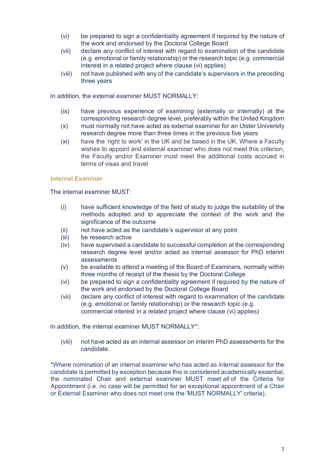- the work and endorsed by the Doctoral College Board (vi) be prepared to sign a confidentiality agreement if required by the nature of
- the work and endorsed by the Doctoral College Board (vii) declare any conflict of interest with regard to examination of the candidate (e.g. emotional or family relationship) or the research topic (e.g. commercial interest in a related project where clause (vi) applies)
- three years (viii) not have published with any of the candidate's supervisors in the preceding

In addition, the external examiner MUST NORMALLY:

- corresponding research degree level, preferably within the United Kingdom  $(ix)$  have previous experience of examining (externally or internally) at the
- research degree more than three times in the previous five years  $(x)$  must normally not have acted as external examiner for an Ulster University
- wishes to appoint and external examiner who does not meet this criterion, the Faculty and/or Examiner must meet the additional costs accrued in (xi) have the 'right to work' in the UK and be based in the UK. Where a Faculty terms of visas and travel

## **Internal Examiner**

The internal examiner MUST:

- $I$  i) have sufficient knowledge of the field of study to judge the suitability of the methods adopted and to appreciate the context of the work and the significance of the outcome
- (ii) not have acted as the candidate's supervisor at any point
- (iii) be research active
- (iv) have supervised a candidate to successful completion at the corresponding research degree level and/or acted as internal assessor for PhD interim assessments
- (v) be available to attend a meeting of the Board of Examiners, normally within three months of receipt of the thesis by the Doctoral College
- the work and endorsed by the Doctoral College Board (vi) be prepared to sign a confidentiality agreement if required by the nature of
- the work and endorsed by the Doctoral College Board (vii) declare any conflict of interest with regard to examination of the candidate (e.g. emotional or family relationship) or the research topic (e.g.

 commercial interest in a related project where clause (vi) applies) In addition, the internal examiner MUST NORMALLY\*: In addition, the internal examiner MUST NORMALLY\*:

 (viii) not have acted as an internal assessor on interim PhD assessments for the candidate.

 candidate is permitted by exception because this is considered academically essential, the nominated Chair and external examiner MUST meet *all* of the Criteria for Appointment (i.e. no case will be permitted for an exceptional appointment of a Chair or External Examiner who does not meet one the 'MUST NORMALLY' criteria). \*Where nomination of an internal examiner who has acted as internal assessor for the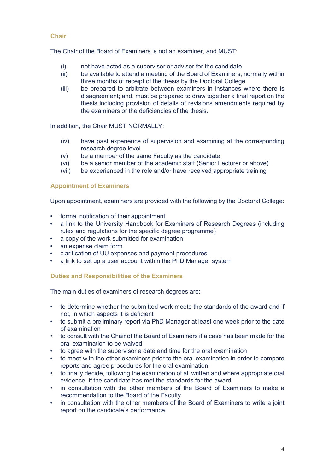# **Chair**

The Chair of the Board of Examiners is not an examiner, and MUST:

- (i) not have acted as a supervisor or adviser for the candidate
- (ii) be available to attend a meeting of the Board of Examiners, normally within three months of receipt of the thesis by the Doctoral College
- disagreement; and, must be prepared to draw together a final report on the thesis including provision of details of revisions amendments required by the examiners or the deficiencies of the thesis. (iii) be prepared to arbitrate between examiners in instances where there is

In addition, the Chair MUST NORMALLY:

- research degree level  $(iv)$  have past experience of supervision and examining at the corresponding
- (v) be a member of the same Faculty as the candidate
- (vi) be a senior member of the academic staff (Senior Lecturer or above)
- (vii) be experienced in the role and/or have received appropriate training

## **Appointment of Examiners**

Upon appointment, examiners are provided with the following by the Doctoral College:

- formal notification of their appointment
- • a link to the University Handbook for Examiners of Research Degrees (including rules and regulations for the specific degree programme)
- a copy of the work submitted for examination
- an expense claim form
- clarification of UU expenses and payment procedures
- a link to set up a user account within the PhD Manager system

#### **Duties and Responsibilities of the Examiners**

The main duties of examiners of research degrees are:

- • to determine whether the submitted work meets the standards of the award and if not, in which aspects it is deficient
- • to submit a preliminary report via PhD Manager at least one week prior to the date of examination
- to consult with the Chair of the Board of Examiners if a case has been made for the oral examination to be waived
- to agree with the supervisor a date and time for the oral examination
- to meet with the other examiners prior to the oral examination in order to compare reports and agree procedures for the oral examination
- • to finally decide, following the examination of all written and where appropriate oral evidence, if the candidate has met the standards for the award
- • in consultation with the other members of the Board of Examiners to make a recommendation to the Board of the Faculty
- • in consultation with the other members of the Board of Examiners to write a joint report on the candidate's performance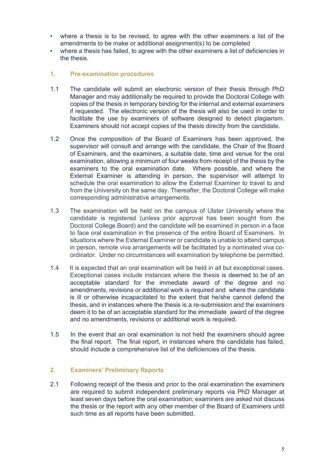- amendments to be make or additional assignment(s) to be completed • where a thesis is to be revised, to agree with the other examiners a list of the
- where a thesis has failed, to agree with the other examiners a list of deficiencies in the thesis.
- **1. Pre-examination procedures**
- 1.1 The candidate will submit an electronic version of their thesis through PhD copies of the thesis in temporary binding for the internal and external examiners Manager and may additionally be required to provide the Doctoral College with if requested. The electronic version of the thesis will also be used in order to facilitate the use by examiners of software designed to detect plagiarism. Examiners should not accept copies of the thesis directly from the candidate.
- supervisor will consult and arrange with the candidate, the Chair of the Board examiners to the oral examination date. Where possible, and where the External Examiner is attending in person, the supervisor will attempt to 1.2 Once the composition of the Board of Examiners has been approved, the of Examiners, and the examiners, a suitable date, time and venue for the oral examination, allowing a minimum of four weeks from receipt of the thesis by the schedule the oral examination to allow the External Examiner to travel to and from the University on the same day. Thereafter, the Doctoral College will make corresponding administrative arrangements.
- 1.3 The examination will be held on the campus of Ulster University where the candidate is registered (unless prior approval has been sought from the Doctoral College Board) and the candidate will be examined in person in a face to face oral examination in the presence of the entire Board of Examiners. In situations where the External Examiner or candidate is unable to attend campus in person, remote viva arrangements will be facilitated by a nominated viva coordinator. Under no circumstances will examination by telephone be permitted.
- is ill or otherwise incapacitated to the extent that he/she cannot defend the deem it to be of an acceptable standard for the immediate award of the degree 1.4 It is expected that an oral examination will be held in all but exceptional cases. Exceptional cases include instances where the thesis is deemed to be of an acceptable standard for the immediate award of the degree and no amendments, revisions or additional work is required and where the candidate thesis, and in instances where the thesis is a re-submission and the examiners and no amendments, revisions or additional work is required.
- 1.5 In the event that an oral examination is not held the examiners should agree the final report. The final report, in instances where the candidate has failed, should include a comprehensive list of the deficiencies of the thesis.

# **2. Examiners' Preliminary Reports**

 2.1 Following receipt of the thesis and prior to the oral examination the examiners the thesis or the report with any other member of the Board of Examiners until are required to submit independent preliminary reports via PhD Manager at least seven days before the oral examination; examiners are asked not discuss such time as all reports have been submitted.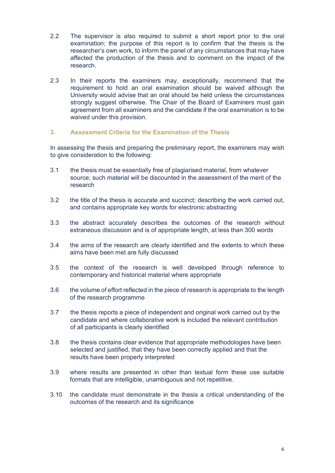- 2.2 The supervisor is also required to submit a short report prior to the oral examination; the purpose of this report is to confirm that the thesis is the researcher's own work, to inform the panel of any circumstances that may have affected the production of the thesis and to comment on the impact of the research.
- strongly suggest otherwise. The Chair of the Board of Examiners must gain 2.3 In their reports the examiners may, exceptionally, recommend that the requirement to hold an oral examination should be waived although the University would advise that an oral should be held unless the circumstances agreement from all examiners and the candidate if the oral examination is to be waived under this provision.

## **3. Assessment Criteria for the Examination of the Thesis**

 In assessing the thesis and preparing the preliminary report, the examiners may wish to give consideration to the following:

- to give consideration to the following:<br>3.1 the thesis must be essentially free of plagiarised material, from whatever source; such material will be discounted in the assessment of the merit of the research
- 3.2 the title of the thesis is accurate and succinct; describing the work carried out, and contains appropriate key words for electronic abstracting
- extraneous discussion and is of appropriate length, at less than 300 words 3.3 the abstract accurately describes the outcomes of the research without
- aims have been met are fully discussed 3.4 the aims of the research are clearly identified and the extents to which these
- 3.5 the context of the research is well developed through reference to contemporary and historical material where appropriate
- 3.6 the volume of effort reflected in the piece of research is appropriate to the length of the research programme
- 3.7 the thesis reports a piece of independent and original work carried out by the candidate and where collaborative work is included the relevant contribution of all participants is clearly identified
- selected and justified, that they have been correctly applied and that the results have been properly interpreted 3.8 the thesis contains clear evidence that appropriate methodologies have been
- formats that are intelligible, unambiguous and not repetitive. 3.9 where results are presented in other than textual form these use suitable
- 3.10 the candidate must demonstrate in the thesis a critical understanding of the outcomes of the research and its significance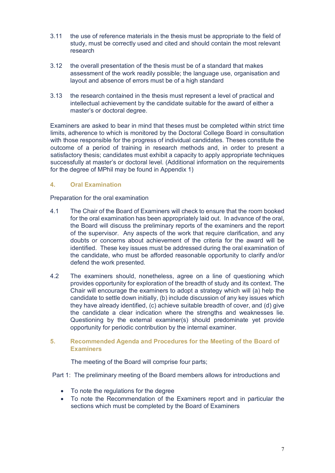- 3.11 the use of reference materials in the thesis must be appropriate to the field of study, must be correctly used and cited and should contain the most relevant research
- 3.12 the overall presentation of the thesis must be of a standard that makes layout and absence of errors must be of a high standard assessment of the work readily possible; the language use, organisation and
- 3.13 the research contained in the thesis must represent a level of practical and intellectual achievement by the candidate suitable for the award of either a master's or doctoral degree.

 limits, adherence to which is monitored by the Doctoral College Board in consultation outcome of a period of training in research methods and, in order to present a successfully at master's or doctoral level. (Additional information on the requirements for the degree of MPhil may be found in Appendix 1) Examiners are asked to bear in mind that theses must be completed within strict time with those responsible for the progress of individual candidates. Theses constitute the satisfactory thesis; candidates must exhibit a capacity to apply appropriate techniques

# **4. Oral Examination**

# Preparation for the oral examination

- 4.1 The Chair of the Board of Examiners will check to ensure that the room booked for the oral examination has been appropriately laid out. In advance of the oral, of the supervisor. Any aspects of the work that require clarification, and any doubts or concerns about achievement of the criteria for the award will be defend the work presented. the Board will discuss the preliminary reports of the examiners and the report identified. These key issues must be addressed during the oral examination of the candidate, who must be afforded reasonable opportunity to clarify and/or
- provides opportunity for exploration of the breadth of study and its context. The Chair will encourage the examiners to adopt a strategy which will (a) help the the candidate a clear indication where the strengths and weaknesses lie. opportunity for periodic contribution by the internal examiner. 4.2 The examiners should, nonetheless, agree on a line of questioning which candidate to settle down initially, (b) include discussion of any key issues which they have already identified, (c) achieve suitable breadth of cover, and (d) give Questioning by the external examiner(s) should predominate yet provide

# **5. Recommended Agenda and Procedures for the Meeting of the Board of Examiners**

The meeting of the Board will comprise four parts;

Part 1: The preliminary meeting of the Board members allows for introductions and

- To note the regulations for the degree
- sections which must be completed by the Board of Examiners • To note the Recommendation of the Examiners report and in particular the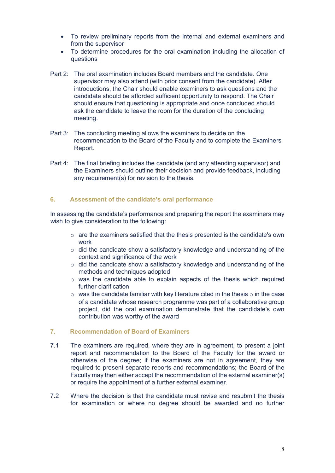- from the supervisor • To review preliminary reports from the internal and external examiners and
- • To determine procedures for the oral examination including the allocation of questions
- supervisor may also attend (with prior consent from the candidate). After meeting. Part 2: The oral examination includes Board members and the candidate. One introductions, the Chair should enable examiners to ask questions and the candidate should be afforded sufficient opportunity to respond. The Chair should ensure that questioning is appropriate and once concluded should ask the candidate to leave the room for the duration of the concluding
- Report. Part 3: The concluding meeting allows the examiners to decide on the recommendation to the Board of the Faculty and to complete the Examiners
- any requirement(s) for revision to the thesis. Part 4: The final briefing includes the candidate (and any attending supervisor) and the Examiners should outline their decision and provide feedback, including

# **6. Assessment of the candidate's oral performance**

 wish to give consideration to the following: In assessing the candidate's performance and preparing the report the examiners may

- $\circ$  are the examiners satisfied that the thesis presented is the candidate's own work
- $\circ$  did the candidate show a satisfactory knowledge and understanding of the context and significance of the work
- $\circ$  did the candidate show a satisfactory knowledge and understanding of the methods and techniques adopted
- $\circ$  was the candidate able to explain aspects of the thesis which required further clarification
- $\circ$  was the candidate familiar with key literature cited in the thesis  $\circ$  in the case of a candidate whose research programme was part of a collaborative group project, did the oral examination demonstrate that the candidate's own contribution was worthy of the award

# **7. Recommendation of Board of Examiners**

- 7.1 The examiners are required, where they are in agreement, to present a joint report and recommendation to the Board of the Faculty for the award or otherwise of the degree; if the examiners are not in agreement, they are required to present separate reports and recommendations; the Board of the Faculty may then either accept the recommendation of the external examiner(s) or require the appointment of a further external examiner.
- 7.2 Where the decision is that the candidate must revise and resubmit the thesis for examination or where no degree should be awarded and no further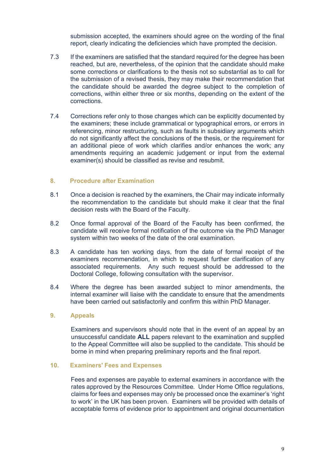submission accepted, the examiners should agree on the wording of the final report, clearly indicating the deficiencies which have prompted the decision.

- $7.3$  reached, but are, nevertheless, of the opinion that the candidate should make some corrections or clarifications to the thesis not so substantial as to call for the submission of a revised thesis, they may make their recommendation that corrections, within either three or six months, depending on the extent of the corrections. If the examiners are satisfied that the standard required for the degree has been the candidate should be awarded the degree subject to the completion of
- $7.4$  the examiners; these include grammatical or typographical errors, or errors in referencing, minor restructuring, such as faults in subsidiary arguments which an additional piece of work which clarifies and/or enhances the work; any amendments requiring an academic judgement or input from the external Corrections refer only to those changes which can be explicitly documented by do not significantly affect the conclusions of the thesis, or the requirement for examiner(s) should be classified as revise and resubmit.

#### **8. Procedure after Examination**

- 8.1 Once a decision is reached by the examiners, the Chair may indicate informally the recommendation to the candidate but should make it clear that the final decision rests with the Board of the Faculty.
- 8.2 system within two weeks of the date of the oral examination. Once formal approval of the Board of the Faculty has been confirmed, the candidate will receive formal notification of the outcome via the PhD Manager
- 8.3 examiners recommendation, in which to request further clarification of any associated requirements. Any such request should be addressed to the Doctoral College, following consultation with the supervisor. A candidate has ten working days, from the date of formal receipt of the
- 8.4 internal examiner will liaise with the candidate to ensure that the amendments Where the degree has been awarded subject to minor amendments, the have been carried out satisfactorily and confirm this within PhD Manager.

#### **9. Appeals**

 Examiners and supervisors should note that in the event of an appeal by an unsuccessful candidate **ALL** papers relevant to the examination and supplied borne in mind when preparing preliminary reports and the final report. to the Appeal Committee will also be supplied to the candidate. This should be

#### **10. Examiners' Fees and Expenses**

 Fees and expenses are payable to external examiners in accordance with the claims for fees and expenses may only be processed once the examiner's 'right to work' in the UK has been proven. Examiners will be provided with details of acceptable forms of evidence prior to appointment and original documentation rates approved by the Resources Committee. Under Home Office regulations,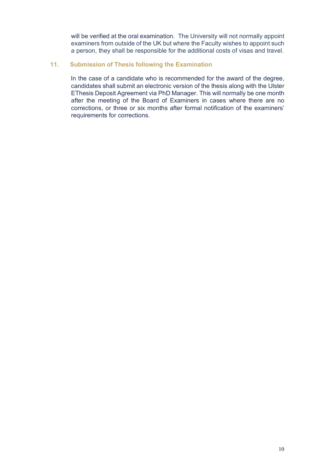will be verified at the oral examination. The University will not normally appoint a person, they shall be responsible for the additional costs of visas and travel. examiners from outside of the UK but where the Faculty wishes to appoint such

# **11. Submission of Thesis following the Examination**

 candidates shall submit an electronic version of the thesis along with the Ulster requirements for corrections. In the case of a candidate who is recommended for the award of the degree, EThesis Deposit Agreement via PhD Manager. This will normally be one month after the meeting of the Board of Examiners in cases where there are no corrections, or three or six months after formal notification of the examiners'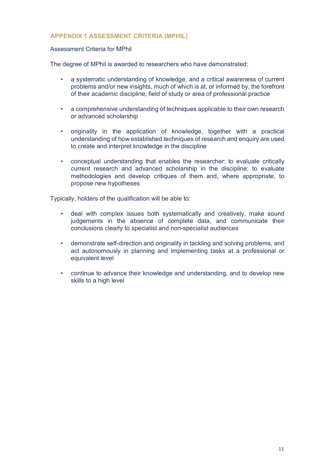# **APPENDIX 1 ASSESSMENT CRITERIA (MPHIL)**

## Assessment Criteria for MPhil

The degree of MPhil is awarded to researchers who have demonstrated:

- of their academic discipline, field of study or area of professional practice • a systematic understanding of knowledge, and a critical awareness of current problems and/or new insights, much of which is at, or informed by, the forefront
- or advanced scholarship • a comprehensive understanding of techniques applicable to their own research
- or advanced scholarship originality in the application of knowledge, together with a practical understanding of how established techniques of research and enquiry are used to create and interpret knowledge in the discipline
- • conceptual understanding that enables the researcher: to evaluate critically current research and advanced scholarship in the discipline; to evaluate methodologies and develop critiques of them and, where appropriate, to propose new hypotheses

Typically, holders of the qualification will be able to:

- • deal with complex issues both systematically and creatively, make sound judgements in the absence of complete data, and communicate their conclusions clearly to specialist and non-specialist audiences
- act autonomously in planning and implementing tasks at a professional or • demonstrate self-direction and originality in tackling and solving problems, and equivalent level
- continue to advance their knowledge and understanding, and to develop new skills to a high level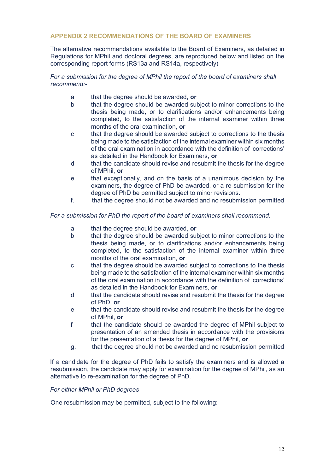# **APPENDIX 2 RECOMMENDATIONS OF THE BOARD OF EXAMINERS**

 corresponding report forms (RS13a and RS14a, respectively) The alternative recommendations available to the Board of Examiners, as detailed in Regulations for MPhil and doctoral degrees, are reproduced below and listed on the

# *recommend:- For a submission for the degree of MPhil the report of the board of examiners shall*

- a that the degree should be awarded, **or**
- b that the degree should be awarded subject to minor corrections to the thesis being made, or to clarifications and/or enhancements being months of the oral examination, **or**  completed, to the satisfaction of the internal examiner within three
- being made to the satisfaction of the internal examiner within six months as detailed in the Handbook for Examiners, **or** c that the degree should be awarded subject to corrections to the thesis of the oral examination in accordance with the definition of 'corrections'
- d that the candidate should revise and resubmit the thesis for the degree of MPhil, **or**
- degree of PhD be permitted subject to minor revisions. e that exceptionally, and on the basis of a unanimous decision by the examiners, the degree of PhD be awarded, or a re-submission for the
- f. **that the degree should not be awarded and no resubmission permitted**

# *For a submission for PhD the report of the board of examiners shall recommend:-*

- a that the degree should be awarded, **or**
- thesis being made, or to clarifications and/or enhancements being months of the oral examination, **or**  b that the degree should be awarded subject to minor corrections to the completed, to the satisfaction of the internal examiner within three
- being made to the satisfaction of the internal examiner within six months as detailed in the Handbook for Examiners, **or** c that the degree should be awarded subject to corrections to the thesis of the oral examination in accordance with the definition of 'corrections'
- d that the candidate should revise and resubmit the thesis for the degree of PhD, **or**
- e that the candidate should revise and resubmit the thesis for the degree of MPhil, **or**
- f that the candidate should be awarded the degree of MPhil subject to presentation of an amended thesis in accordance with the provisions for the presentation of a thesis for the degree of MPhil, **or**
- g. that the degree should not be awarded and no resubmission permitted

 If a candidate for the degree of PhD fails to satisfy the examiners and is allowed a resubmission, the candidate may apply for examination for the degree of MPhil, as an alternative to re-examination for the degree of PhD.

## *For either MPhil or PhD degrees*

One resubmission may be permitted, subject to the following: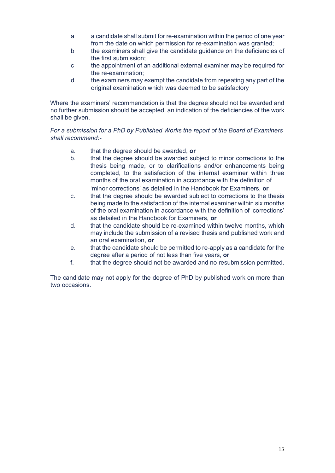- a a candidate shall submit for re-examination within the period of one year from the date on which permission for re-examination was granted;
- b the examiners shall give the candidate guidance on the deficiencies of the first submission;
- c the appointment of an additional external examiner may be required for the re-examination;
- d the examiners may exempt the candidate from repeating any part of the original examination which was deemed to be satisfactory

Where the examiners' recommendation is that the degree should not be awarded and no further submission should be accepted, an indication of the deficiencies of the work shall be given.

# *For a submission for a PhD by Published Works the report of the Board of Examiners shall recommend:-*

- a. that the degree should be awarded, **or**
- b. that the degree should be awarded subject to minor corrections to the thesis being made, or to clarifications and/or enhancements being completed, to the satisfaction of the internal examiner within three 'minor corrections' as detailed in the Handbook for Examiners, **or**  months of the oral examination in accordance with the definition of
- being made to the satisfaction of the internal examiner within six months c. that the degree should be awarded subject to corrections to the thesis of the oral examination in accordance with the definition of 'corrections' as detailed in the Handbook for Examiners, **or**
- d. that the candidate should be re-examined within twelve months, which may include the submission of a revised thesis and published work and an oral examination, **or**
- e. that the candidate should be permitted to re-apply as a candidate for the degree after a period of not less than five years, **or**
- f. that the degree should not be awarded and no resubmission permitted.

 The candidate may not apply for the degree of PhD by published work on more than two occasions.